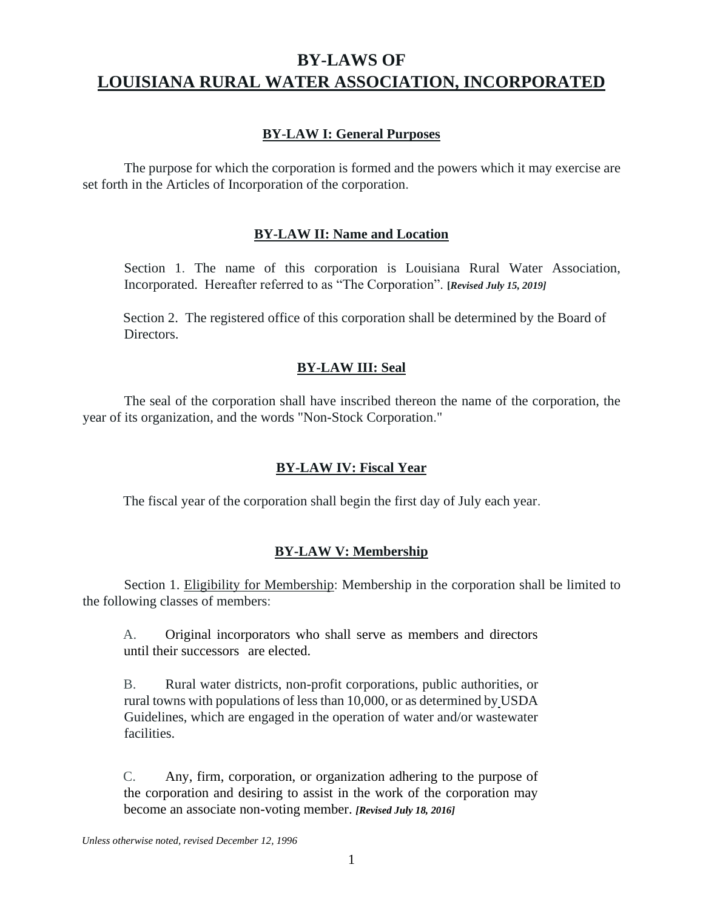# **BY-LAWS OF LOUISIANA RURAL WATER ASSOCIATION, INCORPORATED**

# **BY-LAW I: General Purposes**

The purpose for which the corporation is formed and the powers which it may exercise are set forth in the Articles of Incorporation of the corporation.

# **BY-LAW II: Name and Location**

Section 1. The name of this corporation is Louisiana Rural Water Association, Incorporated. Hereafter referred to as "The Corporation". **[***Revised July 15, 2019]*

Section 2. The registered office of this corporation shall be determined by the Board of **Directors** 

# **BY-LAW III: Seal**

The seal of the corporation shall have inscribed thereon the name of the corporation, the year of its organization, and the words "Non-Stock Corporation."

#### **BY-LAW IV: Fiscal Year**

The fiscal year of the corporation shall begin the first day of July each year.

#### **BY-LAW V: Membership**

Section 1. Eligibility for Membership: Membership in the corporation shall be limited to the following classes of members:

A. Original incorporators who shall serve as members and directors until their successors are elected.

B. Rural water districts, non-profit corporations, public authorities, or rural towns with populations of less than 10,000, or as determined by USDA Guidelines, which are engaged in the operation of water and/or wastewater facilities.

C. Any, firm, corporation, or organization adhering to the purpose of the corporation and desiring to assist in the work of the corporation may become an associate non-voting member. *[Revised July 18, 2016]*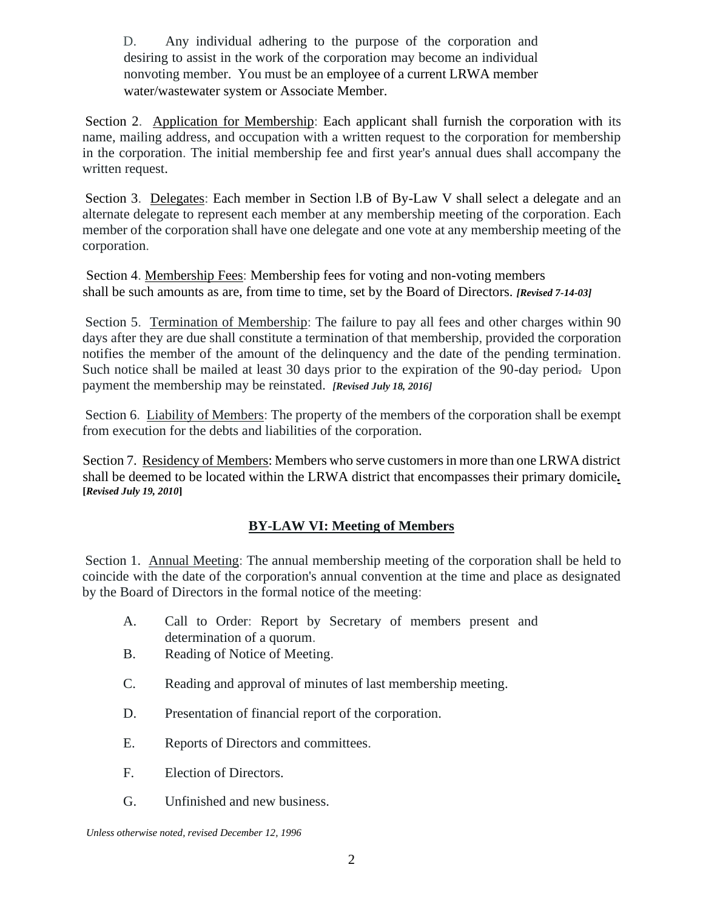D. Any individual adhering to the purpose of the corporation and desiring to assist in the work of the corporation may become an individual nonvoting member. You must be an employee of a current LRWA member water/wastewater system or Associate Member.

Section 2. Application for Membership: Each applicant shall furnish the corporation with its name, mailing address, and occupation with a written request to the corporation for membership in the corporation. The initial membership fee and first year's annual dues shall accompany the written request.

Section 3. Delegates: Each member in Section l.B of By-Law V shall select a delegate and an alternate delegate to represent each member at any membership meeting of the corporation. Each member of the corporation shall have one delegate and one vote at any membership meeting of the corporation.

Section 4. Membership Fees: Membership fees for voting and non-voting members shall be such amounts as are, from time to time, set by the Board of Directors. *[Revised 7-14-03]*

Section 5. Termination of Membership: The failure to pay all fees and other charges within 90 days after they are due shall constitute a termination of that membership, provided the corporation notifies the member of the amount of the delinquency and the date of the pending termination. Such notice shall be mailed at least 30 days prior to the expiration of the 90-day period. Upon payment the membership may be reinstated. *[Revised July 18, 2016]*

Section 6. Liability of Members: The property of the members of the corporation shall be exempt from execution for the debts and liabilities of the corporation.

Section 7. Residency of Members: Members who serve customers in more than one LRWA district shall be deemed to be located within the LRWA district that encompasses their primary domicile*.* **[***Revised July 19, 2010***]**

# **BY-LAW VI: Meeting of Members**

Section 1. Annual Meeting: The annual membership meeting of the corporation shall be held to coincide with the date of the corporation's annual convention at the time and place as designated by the Board of Directors in the formal notice of the meeting:

- A. Call to Order: Report by Secretary of members present and determination of a quorum.
- B. Reading of Notice of Meeting.
- C. Reading and approval of minutes of last membership meeting.
- D. Presentation of financial report of the corporation.
- E. Reports of Directors and committees.
- F. Election of Directors.
- G. Unfinished and new business.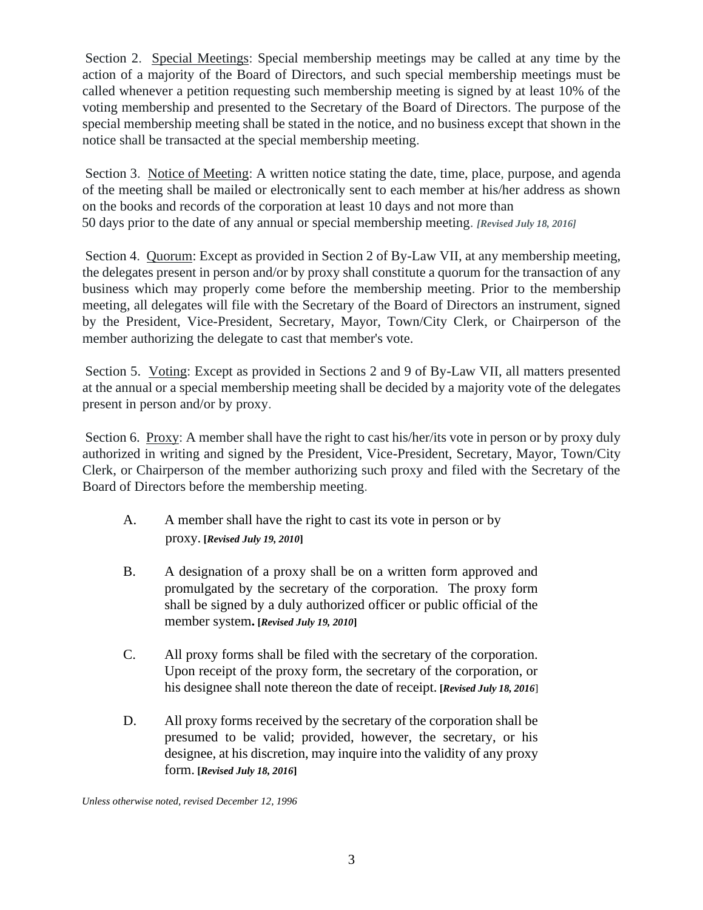Section 2. Special Meetings: Special membership meetings may be called at any time by the action of a majority of the Board of Directors, and such special membership meetings must be called whenever a petition requesting such membership meeting is signed by at least 10% of the voting membership and presented to the Secretary of the Board of Directors. The purpose of the special membership meeting shall be stated in the notice, and no business except that shown in the notice shall be transacted at the special membership meeting.

Section 3. Notice of Meeting: A written notice stating the date, time, place, purpose, and agenda of the meeting shall be mailed or electronically sent to each member at his/her address as shown on the books and records of the corporation at least 10 days and not more than 50 days prior to the date of any annual or special membership meeting. *[Revised July 18, 2016]*

Section 4. Quorum: Except as provided in Section 2 of By-Law VII, at any membership meeting, the delegates present in person and/or by proxy shall constitute a quorum for the transaction of any business which may properly come before the membership meeting. Prior to the membership meeting, all delegates will file with the Secretary of the Board of Directors an instrument, signed by the President, Vice-President, Secretary, Mayor, Town/City Clerk, or Chairperson of the member authorizing the delegate to cast that member's vote.

Section 5. Voting: Except as provided in Sections 2 and 9 of By-Law VII, all matters presented at the annual or a special membership meeting shall be decided by a majority vote of the delegates present in person and/or by proxy.

Section 6. Proxy: A member shall have the right to cast his/her/its vote in person or by proxy duly authorized in writing and signed by the President, Vice-President, Secretary, Mayor, Town/City Clerk, or Chairperson of the member authorizing such proxy and filed with the Secretary of the Board of Directors before the membership meeting.

- A. A member shall have the right to cast its vote in person or by proxy. **[***Revised July 19, 2010***]**
- B. A designation of a proxy shall be on a written form approved and promulgated by the secretary of the corporation. The proxy form shall be signed by a duly authorized officer or public official of the member system**. [***Revised July 19, 2010***]**
- C. All proxy forms shall be filed with the secretary of the corporation. Upon receipt of the proxy form, the secretary of the corporation, or his designee shall note thereon the date of receipt. **[***Revised July 18, 2016*]
- D. All proxy forms received by the secretary of the corporation shall be presumed to be valid; provided, however, the secretary, or his designee, at his discretion, may inquire into the validity of any proxy form. **[***Revised July 18, 2016***]**

*Unless otherwise noted, revised December 12, 1996*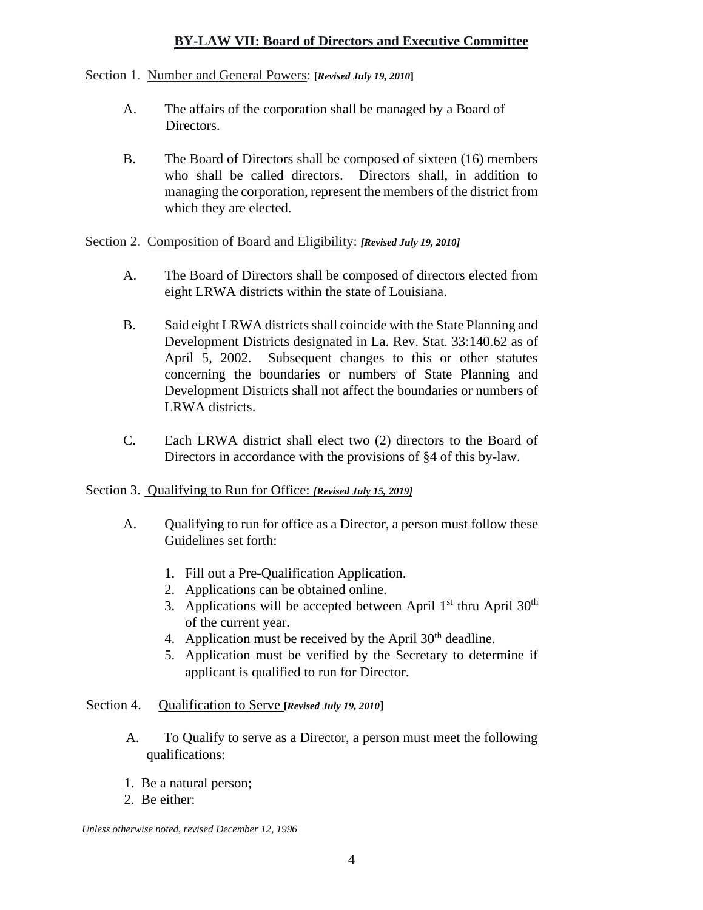# **BY-LAW VII: Board of Directors and Executive Committee**

#### Section 1. Number and General Powers: **[***Revised July 19, 2010***]**

- A. The affairs of the corporation shall be managed by a Board of Directors.
- B. The Board of Directors shall be composed of sixteen (16) members who shall be called directors. Directors shall, in addition to managing the corporation, represent the members of the district from which they are elected.

#### Section 2. Composition of Board and Eligibility: *[Revised July 19, 2010]*

- A. The Board of Directors shall be composed of directors elected from eight LRWA districts within the state of Louisiana.
- B. Said eight LRWA districts shall coincide with the State Planning and Development Districts designated in La. Rev. Stat. 33:140.62 as of April 5, 2002. Subsequent changes to this or other statutes concerning the boundaries or numbers of State Planning and Development Districts shall not affect the boundaries or numbers of LRWA districts.
- C. Each LRWA district shall elect two (2) directors to the Board of Directors in accordance with the provisions of §4 of this by-law.

#### Section 3. Qualifying to Run for Office: *[Revised July 15, 2019]*

- A. Qualifying to run for office as a Director, a person must follow these Guidelines set forth:
	- 1. Fill out a Pre-Qualification Application.
	- 2. Applications can be obtained online.
	- 3. Applications will be accepted between April  $1<sup>st</sup>$  thru April  $30<sup>th</sup>$ of the current year.
	- 4. Application must be received by the April  $30<sup>th</sup>$  deadline.
	- 5. Application must be verified by the Secretary to determine if applicant is qualified to run for Director.

#### Section 4. Qualification to Serve **[***Revised July 19, 2010***]**

- A. To Qualify to serve as a Director, a person must meet the following qualifications:
- 1. Be a natural person;
- 2. Be either: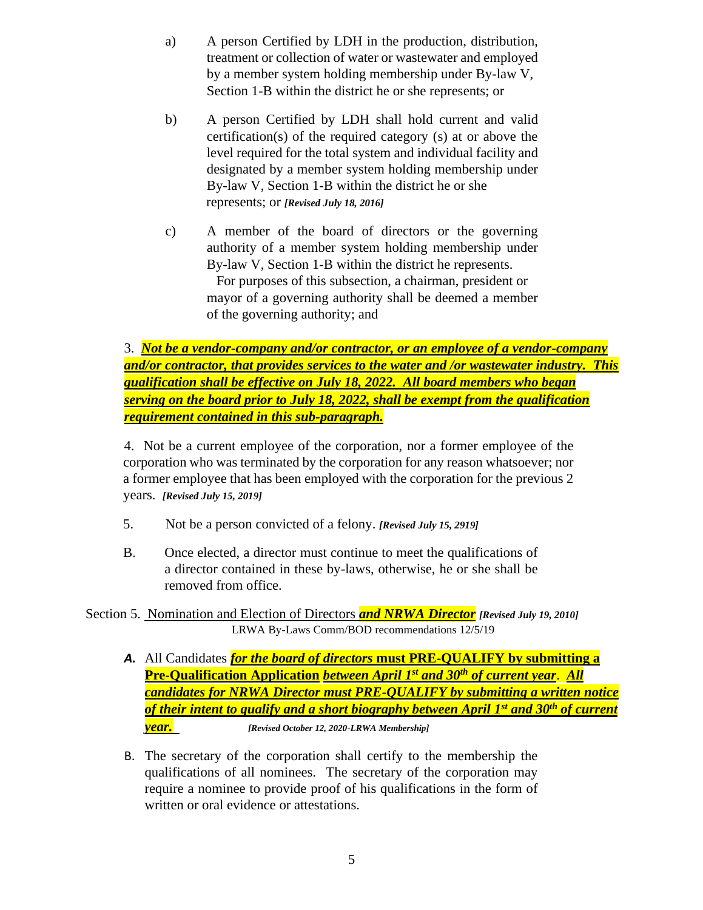- a) A person Certified by LDH in the production, distribution, treatment or collection of water or wastewater and employed by a member system holding membership under By-law V, Section 1-B within the district he or she represents; or
- b) A person Certified by LDH shall hold current and valid certification(s) of the required category (s) at or above the level required for the total system and individual facility and designated by a member system holding membership under By-law V, Section 1-B within the district he or she represents; or *[Revised July 18, 2016]*
- c) A member of the board of directors or the governing authority of a member system holding membership under By-law V, Section 1-B within the district he represents. For purposes of this subsection, a chairman, president or mayor of a governing authority shall be deemed a member of the governing authority; and

3. *Not be a vendor-company and/or contractor, or an employee of a vendor-company and/or contractor, that provides services to the water and /or wastewater industry. This qualification shall be effective on July 18, 2022. All board members who began serving on the board prior to July 18, 2022, shall be exempt from the qualification requirement contained in this sub-paragraph.*

4. Not be a current employee of the corporation, nor a former employee of the corporation who was terminated by the corporation for any reason whatsoever; nor a former employee that has been employed with the corporation for the previous 2 years. *[Revised July 15, 2019]*

- 5. Not be a person convicted of a felony. *[Revised July 15, 2919]*
- B. Once elected, a director must continue to meet the qualifications of a director contained in these by-laws, otherwise, he or she shall be removed from office.

Section 5. Nomination and Election of Directors *and NRWA Director [Revised July 19, 2010]* LRWA By-Laws Comm/BOD recommendations 12/5/19

- *A.* All Candidates *for the board of directors* **must PRE-QUALIFY by submitting a Pre-Qualification Application** *between April 1st and 30th of current year*. *All candidates for NRWA Director must PRE-QUALIFY by submitting a written notice of their intent to qualify and a short biography between April 1st and 30th of current year. [Revised October 12, 2020-LRWA Membership]*
- B. The secretary of the corporation shall certify to the membership the qualifications of all nominees. The secretary of the corporation may require a nominee to provide proof of his qualifications in the form of written or oral evidence or attestations.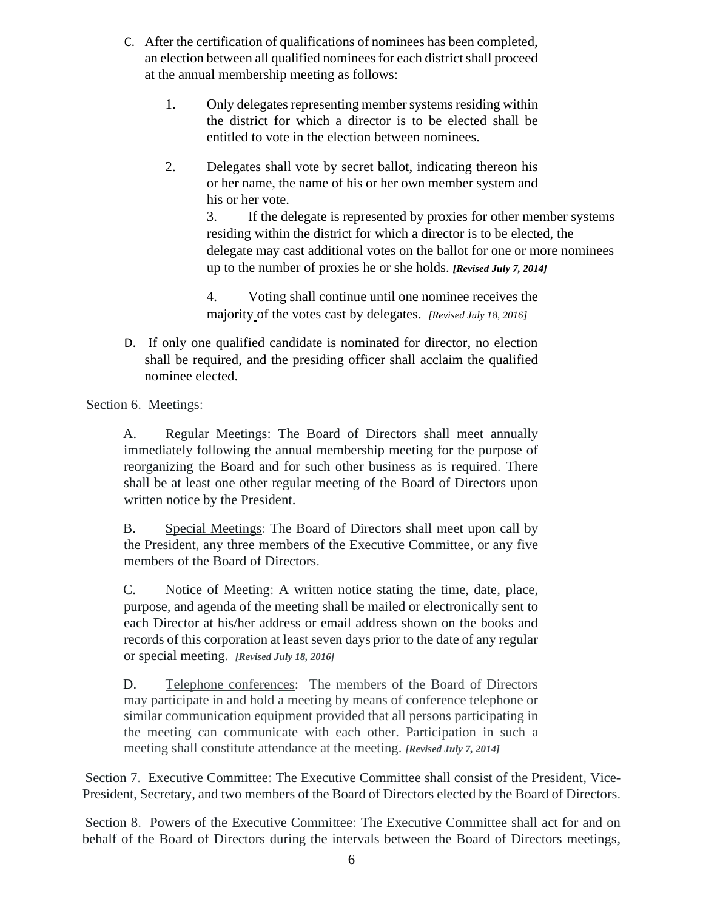- C. After the certification of qualifications of nominees has been completed, an election between all qualified nominees for each district shall proceed at the annual membership meeting as follows:
	- 1. Only delegates representing member systems residing within the district for which a director is to be elected shall be entitled to vote in the election between nominees.
	- 2. Delegates shall vote by secret ballot, indicating thereon his or her name, the name of his or her own member system and his or her vote.

3. If the delegate is represented by proxies for other member systems residing within the district for which a director is to be elected, the delegate may cast additional votes on the ballot for one or more nominees up to the number of proxies he or she holds. *[Revised July 7, 2014]*

4. Voting shall continue until one nominee receives the majority of the votes cast by delegates. *[Revised July 18, 2016]*

D. If only one qualified candidate is nominated for director, no election shall be required, and the presiding officer shall acclaim the qualified nominee elected.

Section 6.Meetings:

A. Regular Meetings: The Board of Directors shall meet annually immediately following the annual membership meeting for the purpose of reorganizing the Board and for such other business as is required. There shall be at least one other regular meeting of the Board of Directors upon written notice by the President.

B. Special Meetings: The Board of Directors shall meet upon call by the President, any three members of the Executive Committee, or any five members of the Board of Directors.

C. Notice of Meeting: A written notice stating the time, date, place, purpose, and agenda of the meeting shall be mailed or electronically sent to each Director at his/her address or email address shown on the books and records of this corporation at least seven days prior to the date of any regular or special meeting. *[Revised July 18, 2016]*

D. Telephone conferences: The members of the Board of Directors may participate in and hold a meeting by means of conference telephone or similar communication equipment provided that all persons participating in the meeting can communicate with each other. Participation in such a meeting shall constitute attendance at the meeting. *[Revised July 7, 2014]*

Section 7. Executive Committee: The Executive Committee shall consist of the President, Vice-President, Secretary, and two members of the Board of Directors elected by the Board of Directors.

Section 8. Powers of the Executive Committee: The Executive Committee shall act for and on behalf of the Board of Directors during the intervals between the Board of Directors meetings,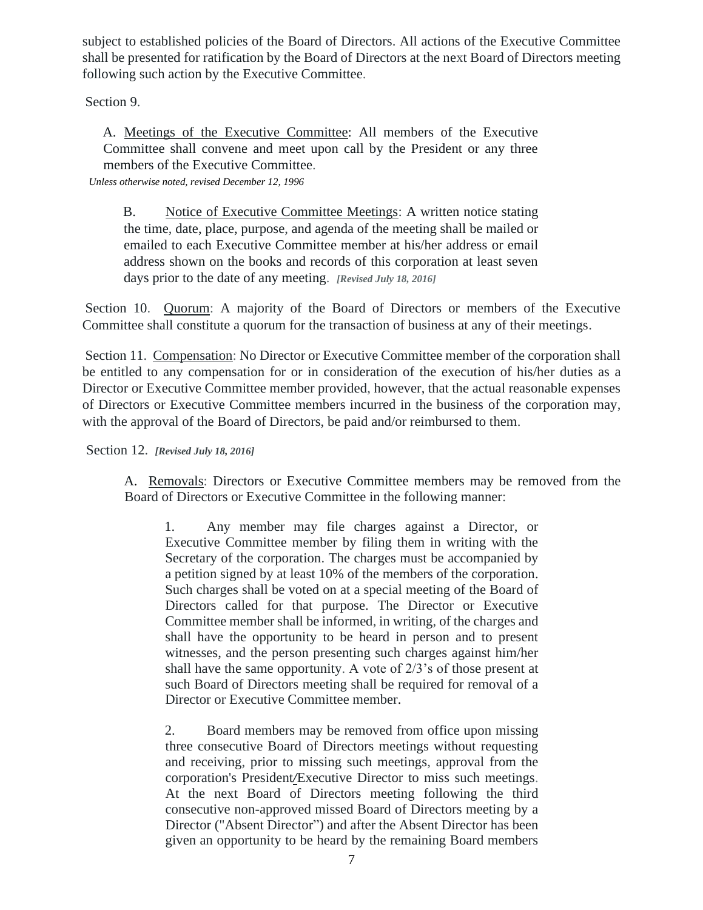subject to established policies of the Board of Directors. All actions of the Executive Committee shall be presented for ratification by the Board of Directors at the next Board of Directors meeting following such action by the Executive Committee.

Section 9.

A. Meetings of the Executive Committee: All members of the Executive Committee shall convene and meet upon call by the President or any three members of the Executive Committee.

*Unless otherwise noted, revised December 12, 1996* 

B. Notice of Executive Committee Meetings: A written notice stating the time, date, place, purpose, and agenda of the meeting shall be mailed or emailed to each Executive Committee member at his/her address or email address shown on the books and records of this corporation at least seven days prior to the date of any meeting. *[Revised July 18, 2016]*

Section 10. Quorum: A majority of the Board of Directors or members of the Executive Committee shall constitute a quorum for the transaction of business at any of their meetings.

Section 11. Compensation: No Director or Executive Committee member of the corporation shall be entitled to any compensation for or in consideration of the execution of his/her duties as a Director or Executive Committee member provided, however, that the actual reasonable expenses of Directors or Executive Committee members incurred in the business of the corporation may, with the approval of the Board of Directors, be paid and/or reimbursed to them.

Section 12. *[Revised July 18, 2016]*

A. Removals: Directors or Executive Committee members may be removed from the Board of Directors or Executive Committee in the following manner:

1. Any member may file charges against a Director, or Executive Committee member by filing them in writing with the Secretary of the corporation. The charges must be accompanied by a petition signed by at least 10% of the members of the corporation. Such charges shall be voted on at a special meeting of the Board of Directors called for that purpose. The Director or Executive Committee member shall be informed, in writing, of the charges and shall have the opportunity to be heard in person and to present witnesses, and the person presenting such charges against him/her shall have the same opportunity. A vote of 2/3's of those present at such Board of Directors meeting shall be required for removal of a Director or Executive Committee member.

2. Board members may be removed from office upon missing three consecutive Board of Directors meetings without requesting and receiving, prior to missing such meetings, approval from the corporation's President*/*Executive Director to miss such meetings. At the next Board of Directors meeting following the third consecutive non-approved missed Board of Directors meeting by a Director ("Absent Director") and after the Absent Director has been given an opportunity to be heard by the remaining Board members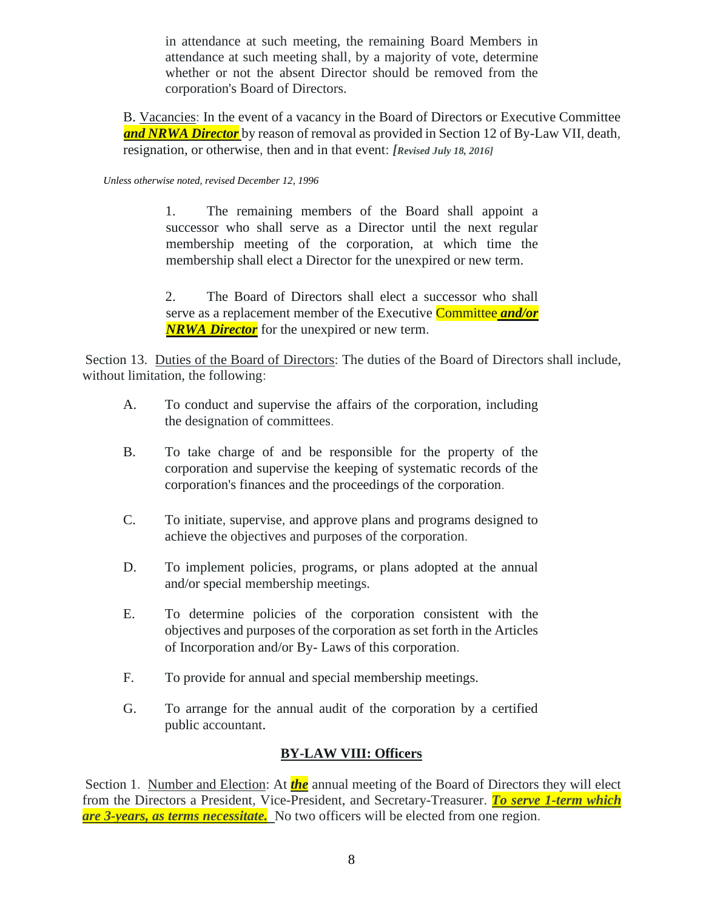in attendance at such meeting, the remaining Board Members in attendance at such meeting shall, by a majority of vote, determine whether or not the absent Director should be removed from the corporation's Board of Directors.

B. Vacancies: In the event of a vacancy in the Board of Directors or Executive Committee *and NRWA Director* by reason of removal as provided in Section 12 of By-Law VII, death, resignation, or otherwise, then and in that event: *[Revised July 18, 2016]*

#### *Unless otherwise noted, revised December 12, 1996*

1. The remaining members of the Board shall appoint a successor who shall serve as a Director until the next regular membership meeting of the corporation, at which time the membership shall elect a Director for the unexpired or new term.

2. The Board of Directors shall elect a successor who shall serve as a replacement member of the Executive Committee *and/or NRWA Director* for the unexpired or new term.

Section 13. Duties of the Board of Directors: The duties of the Board of Directors shall include, without limitation, the following:

- A. To conduct and supervise the affairs of the corporation, including the designation of committees.
- B. To take charge of and be responsible for the property of the corporation and supervise the keeping of systematic records of the corporation's finances and the proceedings of the corporation.
- C. To initiate, supervise, and approve plans and programs designed to achieve the objectives and purposes of the corporation.
- D. To implement policies, programs, or plans adopted at the annual and/or special membership meetings.
- E. To determine policies of the corporation consistent with the objectives and purposes of the corporation as set forth in the Articles of Incorporation and/or By- Laws of this corporation.
- F. To provide for annual and special membership meetings.
- G. To arrange for the annual audit of the corporation by a certified public accountant.

# **BY-LAW VIII: Officers**

Section 1. Number and Election: At *the* annual meeting of the Board of Directors they will elect from the Directors a President, Vice-President, and Secretary-Treasurer. *To serve 1-term which are* 3-years, as terms necessitate. No two officers will be elected from one region.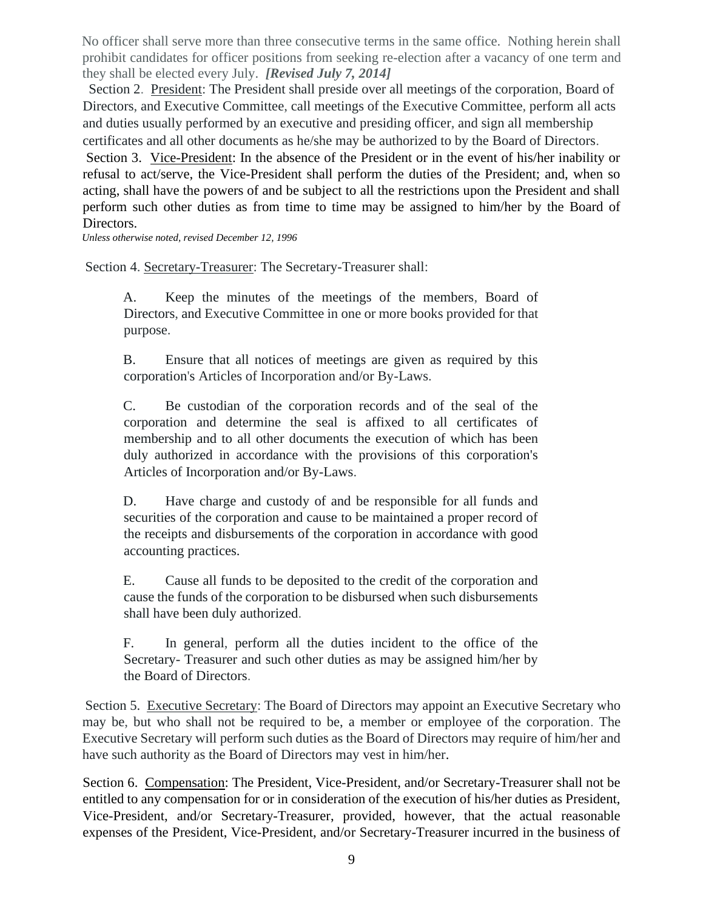No officer shall serve more than three consecutive terms in the same office. Nothing herein shall prohibit candidates for officer positions from seeking re-election after a vacancy of one term and they shall be elected every July. *[Revised July 7, 2014]*

Section 2. President: The President shall preside over all meetings of the corporation, Board of Directors, and Executive Committee, call meetings of the Executive Committee, perform all acts and duties usually performed by an executive and presiding officer, and sign all membership certificates and all other documents as he/she may be authorized to by the Board of Directors.

Section 3. Vice-President: In the absence of the President or in the event of his/her inability or refusal to act/serve, the Vice-President shall perform the duties of the President; and, when so acting, shall have the powers of and be subject to all the restrictions upon the President and shall perform such other duties as from time to time may be assigned to him/her by the Board of Directors.

*Unless otherwise noted, revised December 12, 1996* 

Section 4. Secretary-Treasurer: The Secretary-Treasurer shall:

A. Keep the minutes of the meetings of the members, Board of Directors, and Executive Committee in one or more books provided for that purpose.

B. Ensure that all notices of meetings are given as required by this corporation's Articles of Incorporation and/or By-Laws.

C. Be custodian of the corporation records and of the seal of the corporation and determine the seal is affixed to all certificates of membership and to all other documents the execution of which has been duly authorized in accordance with the provisions of this corporation's Articles of Incorporation and/or By-Laws.

D. Have charge and custody of and be responsible for all funds and securities of the corporation and cause to be maintained a proper record of the receipts and disbursements of the corporation in accordance with good accounting practices.

E. Cause all funds to be deposited to the credit of the corporation and cause the funds of the corporation to be disbursed when such disbursements shall have been duly authorized.

F. In general, perform all the duties incident to the office of the Secretary- Treasurer and such other duties as may be assigned him/her by the Board of Directors.

Section 5. Executive Secretary: The Board of Directors may appoint an Executive Secretary who may be, but who shall not be required to be, a member or employee of the corporation. The Executive Secretary will perform such duties as the Board of Directors may require of him/her and have such authority as the Board of Directors may vest in him/her.

Section 6. Compensation: The President, Vice-President, and/or Secretary-Treasurer shall not be entitled to any compensation for or in consideration of the execution of his/her duties as President, Vice-President, and/or Secretary-Treasurer, provided, however, that the actual reasonable expenses of the President, Vice-President, and/or Secretary-Treasurer incurred in the business of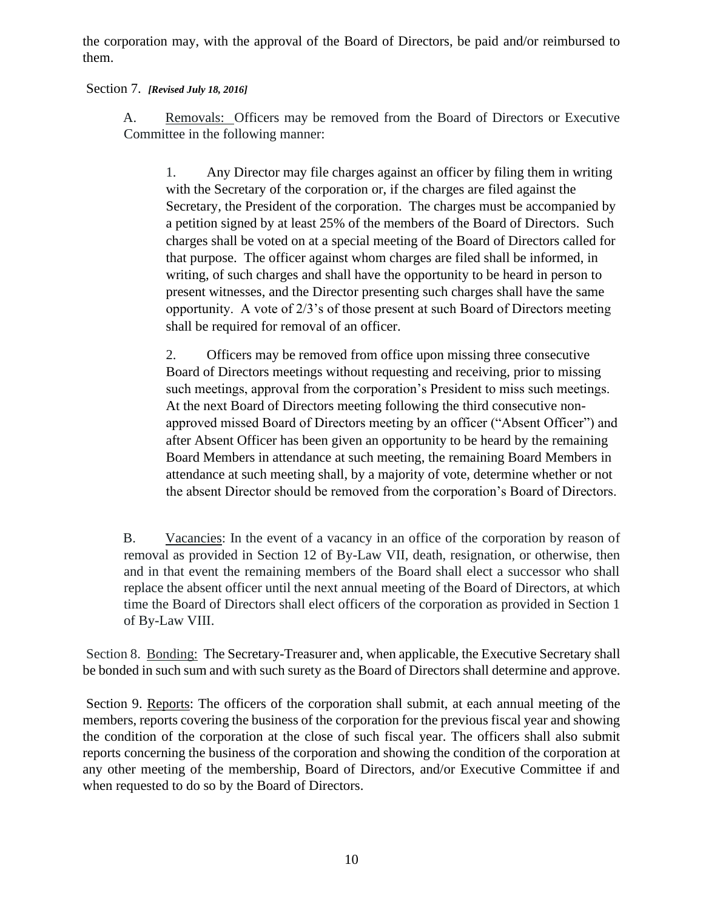the corporation may, with the approval of the Board of Directors, be paid and/or reimbursed to them.

### Section 7. *[Revised July 18, 2016]*

A. Removals: Officers may be removed from the Board of Directors or Executive Committee in the following manner:

1. Any Director may file charges against an officer by filing them in writing with the Secretary of the corporation or, if the charges are filed against the Secretary, the President of the corporation. The charges must be accompanied by a petition signed by at least 25% of the members of the Board of Directors. Such charges shall be voted on at a special meeting of the Board of Directors called for that purpose. The officer against whom charges are filed shall be informed, in writing, of such charges and shall have the opportunity to be heard in person to present witnesses, and the Director presenting such charges shall have the same opportunity. A vote of 2/3's of those present at such Board of Directors meeting shall be required for removal of an officer.

2. Officers may be removed from office upon missing three consecutive Board of Directors meetings without requesting and receiving, prior to missing such meetings, approval from the corporation's President to miss such meetings. At the next Board of Directors meeting following the third consecutive nonapproved missed Board of Directors meeting by an officer ("Absent Officer") and after Absent Officer has been given an opportunity to be heard by the remaining Board Members in attendance at such meeting, the remaining Board Members in attendance at such meeting shall, by a majority of vote, determine whether or not the absent Director should be removed from the corporation's Board of Directors.

B. Vacancies: In the event of a vacancy in an office of the corporation by reason of removal as provided in Section 12 of By-Law VII, death, resignation, or otherwise, then and in that event the remaining members of the Board shall elect a successor who shall replace the absent officer until the next annual meeting of the Board of Directors, at which time the Board of Directors shall elect officers of the corporation as provided in Section 1 of By-Law VIII.

Section 8. Bonding: The Secretary-Treasurer and, when applicable, the Executive Secretary shall be bonded in such sum and with such surety as the Board of Directors shall determine and approve.

Section 9. Reports: The officers of the corporation shall submit, at each annual meeting of the members, reports covering the business of the corporation for the previous fiscal year and showing the condition of the corporation at the close of such fiscal year. The officers shall also submit reports concerning the business of the corporation and showing the condition of the corporation at any other meeting of the membership, Board of Directors, and/or Executive Committee if and when requested to do so by the Board of Directors.